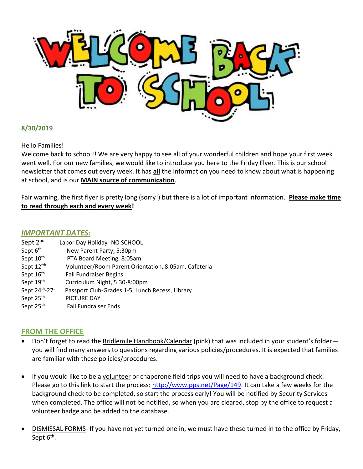

# **8/30/2019**

### Hello Families!

Welcome back to school!! We are very happy to see all of your wonderful children and hope your first week went well. For our new families, we would like to introduce you here to the Friday Flyer. This is our school newsletter that comes out every week. It has **all** the information you need to know about what is happening at school, and is our **MAIN source of communication**.

Fair warning, the first flyer is pretty long (sorry!) but there is a lot of important information. **Please make time to read through each and every week!**

### *IMPORTANT DATES:*

| Sept 2 <sup>nd</sup>   | Labor Day Holiday- NO SCHOOL                         |
|------------------------|------------------------------------------------------|
| Sept 6 <sup>th</sup>   | New Parent Party, 5:30pm                             |
| Sept 10 <sup>th</sup>  | PTA Board Meeting, 8:05am                            |
| Sept 12 <sup>tth</sup> | Volunteer/Room Parent Orientation, 8:05am, Cafeteria |
| Sept 16 <sup>th</sup>  | <b>Fall Fundraiser Begins</b>                        |
| Sept 19th              | Curriculum Night, 5:30-8:00pm                        |
| Sept 24th-27t          | Passport Club-Grades 1-5, Lunch Recess, Library      |
| Sept 25 <sup>th</sup>  | PICTURE DAY                                          |
| Sept 25 <sup>th</sup>  | <b>Fall Fundraiser Ends</b>                          |

## **FROM THE OFFICE**

- Don't forget to read the Bridlemile Handbook/Calendar (pink) that was included in your student's folderyou will find many answers to questions regarding various policies/procedures. It is expected that families are familiar with these policies/procedures.
- If you would like to be a volunteer or chaperone field trips you will need to have a background check. Please go to this link to start the process: [http://www.pps.net/Page/149.](http://www.pps.net/Page/149) It can take a few weeks for the background check to be completed, so start the process early! You will be notified by Security Services when completed. The office will not be notified, so when you are cleared, stop by the office to request a volunteer badge and be added to the database.
- DISMISSAL FORMS- If you have not yet turned one in, we must have these turned in to the office by Friday, Sept 6<sup>th</sup>.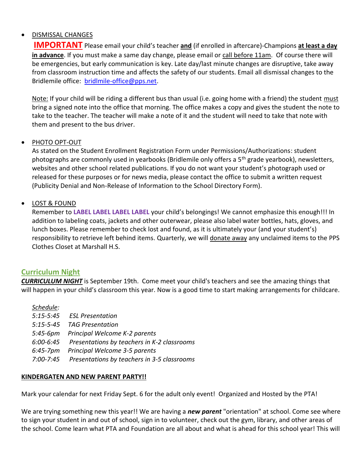## **DISMISSAL CHANGES**

**IMPORTANT** Please email your child's teacher **and** (if enrolled in aftercare)-Champions **at least a day in advance**. If you must make a same day change, please email or call before 11am. Of course there will be emergencies, but early communication is key. Late day/last minute changes are disruptive, take away from classroom instruction time and affects the safety of our students. Email all dismissal changes to the Bridlemile office: [bridlmile-office@pps.net.](mailto:bridlmile-office@pps.net)

Note: If your child will be riding a different bus than usual (i.e. going home with a friend) the student must bring a signed note into the office that morning. The office makes a copy and gives the student the note to take to the teacher. The teacher will make a note of it and the student will need to take that note with them and present to the bus driver.

## PHOTO OPT-OUT

As stated on the Student Enrollment Registration Form under Permissions/Authorizations: student photographs are commonly used in yearbooks (Bridlemile only offers a 5<sup>th</sup> grade yearbook), newsletters, websites and other school related publications. If you do not want your student's photograph used or released for these purposes or for news media, please contact the office to submit a written request (Publicity Denial and Non-Release of Information to the School Directory Form).

## LOST & FOUND

Remember to **LABEL LABEL LABEL LABEL** your child's belongings! We cannot emphasize this enough!!! In addition to labeling coats, jackets and other outerwear, please also label water bottles, hats, gloves, and lunch boxes. Please remember to check lost and found, as it is ultimately your (and your student's) responsibility to retrieve left behind items. Quarterly, we will donate away any unclaimed items to the PPS Clothes Closet at Marshall H.S.

# **Curriculum Night**

*CURRICULUM NIGHT* is September 19th. Come meet your child's teachers and see the amazing things that will happen in your child's classroom this year. Now is a good time to start making arrangements for childcare.

| Schedule:       |                                             |
|-----------------|---------------------------------------------|
|                 | 5:15-5:45 ESL Presentation                  |
| $5:15 - 5 - 45$ | <b>TAG Presentation</b>                     |
| $5:45-6pm$      | Principal Welcome K-2 parents               |
| 6:00-6:45       | Presentations by teachers in K-2 classrooms |
| $6:45 - 7pm$    | Principal Welcome 3-5 parents               |
| 7:00-7:45       | Presentations by teachers in 3-5 classrooms |

## **KINDERGATEN AND NEW PARENT PARTY!!**

Mark your calendar for next Friday Sept. 6 for the adult only event! Organized and Hosted by the PTA!

We are trying something new this year!! We are having a *new parent* "orientation" at school. Come see where to sign your student in and out of school, sign in to volunteer, check out the gym, library, and other areas of the school. Come learn what PTA and Foundation are all about and what is ahead for this school year! This will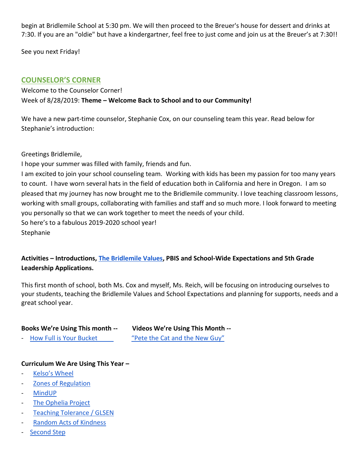begin at Bridlemile School at 5:30 pm. We will then proceed to the Breuer's house for dessert and drinks at 7:30. If you are an "oldie" but have a kindergartner, feel free to just come and join us at the Breuer's at 7:30!!

See you next Friday!

# **COUNSELOR'S CORNER**

Welcome to the Counselor Corner! Week of 8/28/2019: **Theme – Welcome Back to School and to our Community!**

We have a new part-time counselor, Stephanie Cox, on our counseling team this year. Read below for Stephanie's introduction:

Greetings Bridlemile,

I hope your summer was filled with family, friends and fun.

I am excited to join your school counseling team. Working with kids has been my passion for too many years to count. I have worn several hats in the field of education both in California and here in Oregon. I am so pleased that my journey has now brought me to the Bridlemile community. I love teaching classroom lessons, working with small groups, collaborating with families and staff and so much more. I look forward to meeting you personally so that we can work together to meet the needs of your child. So here's to a fabulous 2019-2020 school year! Stephanie

# **Activities – Introductions, [The Bridlemile Values,](https://docs.google.com/document/d/1ZougB1RVVYiddsGxJS9tB55DOzs2I3mi/edit#heading=h.gjdgxs) PBIS and School-Wide Expectations and 5th Grade Leadership Applications.**

This first month of school, both Ms. Cox and myself, Ms. Reich, will be focusing on introducing ourselves to your students, teaching the Bridlemile Values and School Expectations and planning for supports, needs and a great school year.

**Books We're Using This month -- Videos We're Using This Month --** How Full is Your Bucket ["Pete the Cat and the New Guy"](https://youtu.be/W42oHAqM9N8)

## **Curriculum We Are Using This Year –**

- [Kelso's Wheel](https://kelsoschoice.com/free-resources/wheel-of-choice/)
- [Zones of Regulation](https://zonesofregulation.com/)
- [MindUP](https://mindup.org/)
- [The Ophelia Project](https://www.opheliaproject.org/)
- [Teaching Tolerance / GLSEN](https://www.glsen.org/blog-terms/teaching-tolerance)
- [Random Acts of Kindness](https://www.randomactsofkindness.org/)
- [Second Step](http://www.secondstep.org/)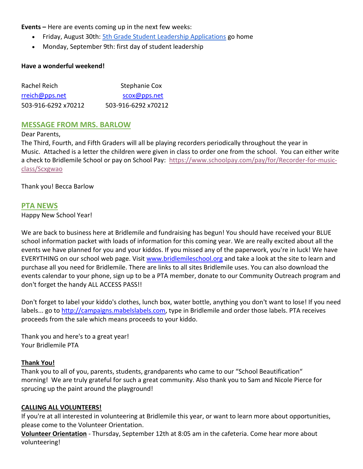**Events –** Here are events coming up in the next few weeks:

- Friday, August 30th: [5th Grade Student Leadership Applications](https://docs.google.com/document/d/1StNcjUusyRKe0E5xhka0qpIXu8iQVpRO/edit#heading=h.gjdgxs) go home
- Monday, September 9th: first day of student leadership

#### **Have a wonderful weekend!**

| Rachel Reich        | <b>Stephanie Cox</b> |  |
|---------------------|----------------------|--|
| rreich@pps.net      | scox@pps.net         |  |
| 503-916-6292 x70212 | 503-916-6292 x70212  |  |

### **MESSAGE FROM MRS. BARLOW**

#### Dear Parents,

The Third, Fourth, and Fifth Graders will all be playing recorders periodically throughout the year in Music. Attached is a letter the children were given in class to order one from the school. You can either write a check to Bridlemile School or pay on School Pay: [https://www.schoolpay.com/pay/for/Recorder-for-music](https://www.schoolpay.com/pay/for/Recorder-for-music-class/Scxgwao)[class/Scxgwao](https://www.schoolpay.com/pay/for/Recorder-for-music-class/Scxgwao)

Thank you! Becca Barlow

### **PTA NEWS**

Happy New School Year!

We are back to business here at Bridlemile and fundraising has begun! You should have received your BLUE school information packet with loads of information for this coming year. We are really excited about all the events we have planned for you and your kiddos. If you missed any of the paperwork, you're in luck! We have EVERYTHING on our school web page. Visit [www.bridlemileschool.org](http://www.bridlemileschool.org/) and take a look at the site to learn and purchase all you need for Bridlemile. There are links to all sites Bridlemile uses. You can also download the events calendar to your phone, sign up to be a PTA member, donate to our Community Outreach program and don't forget the handy ALL ACCESS PASS!!

Don't forget to label your kiddo's clothes, lunch box, water bottle, anything you don't want to lose! If you need labels... go to [http://campaigns.mabelslabels.com,](http://campaigns.mabelslabels.com/) type in Bridlemile and order those labels. PTA receives proceeds from the sale which means proceeds to your kiddo.

Thank you and here's to a great year! Your Bridlemile PTA

### **Thank You!**

Thank you to all of you, parents, students, grandparents who came to our "School Beautification" morning! We are truly grateful for such a great community. Also thank you to Sam and Nicole Pierce for sprucing up the paint around the playground!

#### **CALLING ALL VOLUNTEERS!**

If you're at all interested in volunteering at Bridlemile this year, or want to learn more about opportunities, please come to the Volunteer Orientation.

**Volunteer Orientation** - Thursday, September 12th at 8:05 am in the cafeteria. Come hear more about volunteering!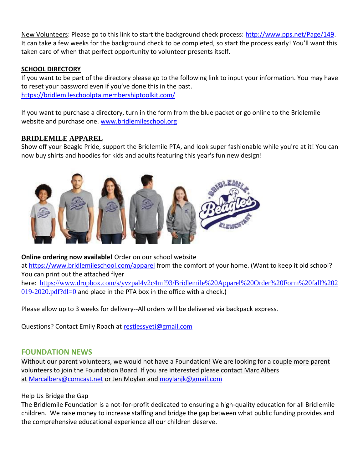New Volunteers: Please go to this link to start the background check process: [http://www.pps.net/Page/149.](http://www.pps.net/Page/149) It can take a few weeks for the background check to be completed, so start the process early! You'll want this taken care of when that perfect opportunity to volunteer presents itself.

## **SCHOOL DIRECTORY**

If you want to be part of the directory please go to the following link to input your information. You may have to reset your password even if you've done this in the past. <https://bridlemileschoolpta.membershiptoolkit.com/>

If you want to purchase a directory, turn in the form from the blue packet or go online to the Bridlemile website and purchase one. [www.bridlemileschool.org](http://www.bridlemileschool.org/)

# **BRIDLEMILE APPAREL**

Show off your Beagle Pride, support the Bridlemile PTA, and look super fashionable while you're at it! You can now buy shirts and hoodies for kids and adults featuring this year's fun new design!



**Online ordering now available!** Order on our school website at <https://www.bridlemileschool.com/apparel> from the comfort of your home. (Want to keep it old school? You can print out the attached flyer here: [https://www.dropbox.com/s/yvzpal4v2c4mf93/Bridlemile%20Apparel%20Order%20Form%20fall%202](https://www.dropbox.com/s/yvzpal4v2c4mf93/Bridlemile%20Apparel%20Order%20Form%20fall%202019-2020.pdf?dl=0)  $0.019 - 2020$ .pdf?dl=0 and place in the PTA box in the office with a check.)

Please allow up to 3 weeks for delivery--All orders will be delivered via backpack express.

Questions? Contact Emily Roach at [restlessyeti@gmail.com](mailto:restlessyeti@gmail.com)

# **FOUNDATION NEWS**

Without our parent volunteers, we would not have a Foundation! We are looking for a couple more parent volunteers to join the Foundation Board. If you are interested please contact Marc Albers at [Marcalbers@comcast.net](mailto:Marcalbers@comcast.net) or Jen Moylan and [moylanjk@gmail.com](mailto:moylanjk@gmail.com)

## Help Us Bridge the Gap

The Bridlemile Foundation is a not-for-profit dedicated to ensuring a high-quality education for all Bridlemile children. We raise money to increase staffing and bridge the gap between what public funding provides and the comprehensive educational experience all our children deserve.